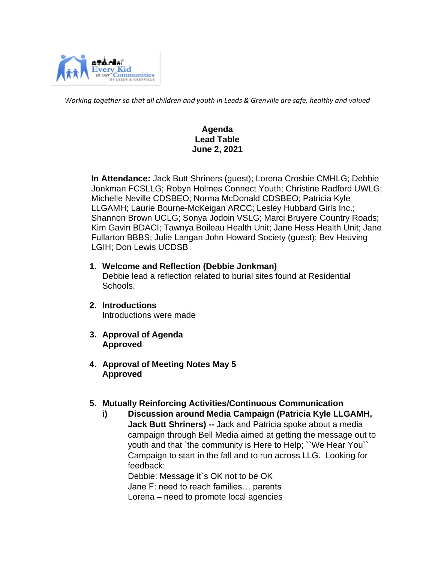

*Working together so that all children and youth in Leeds & Grenville are safe, healthy and valued*

# **Agenda Lead Table June 2, 2021**

 **In Attendance:** Jack Butt Shriners (guest); Lorena Crosbie CMHLG; Debbie Jonkman FCSLLG; Robyn Holmes Connect Youth; Christine Radford UWLG; Michelle Neville CDSBEO; Norma McDonald CDSBEO; Patricia Kyle LLGAMH; Laurie Bourne-McKeigan ARCC; Lesley Hubbard Girls Inc.; Shannon Brown UCLG; Sonya Jodoin VSLG; Marci Bruyere Country Roads; Kim Gavin BDACI; Tawnya Boileau Health Unit; Jane Hess Health Unit; Jane Fullarton BBBS; Julie Langan John Howard Society (guest); Bev Heuving LGIH; Don Lewis UCDSB

**1. Welcome and Reflection (Debbie Jonkman)** 

Debbie lead a reflection related to burial sites found at Residential Schools.

- **2. Introductions**  Introductions were made
- **3. Approval of Agenda Approved**
- **4. Approval of Meeting Notes May 5 Approved**

### **5. Mutually Reinforcing Activities/Continuous Communication**

**i) Discussion around Media Campaign (Patricia Kyle LLGAMH, Jack Butt Shriners) --** Jack and Patricia spoke about a media campaign through Bell Media aimed at getting the message out to youth and that `the community is Here to Help; ``We Hear You`` Campaign to start in the fall and to run across LLG. Looking for feedback:

Debbie: Message it`s OK not to be OK

Jane F: need to reach families… parents

Lorena – need to promote local agencies